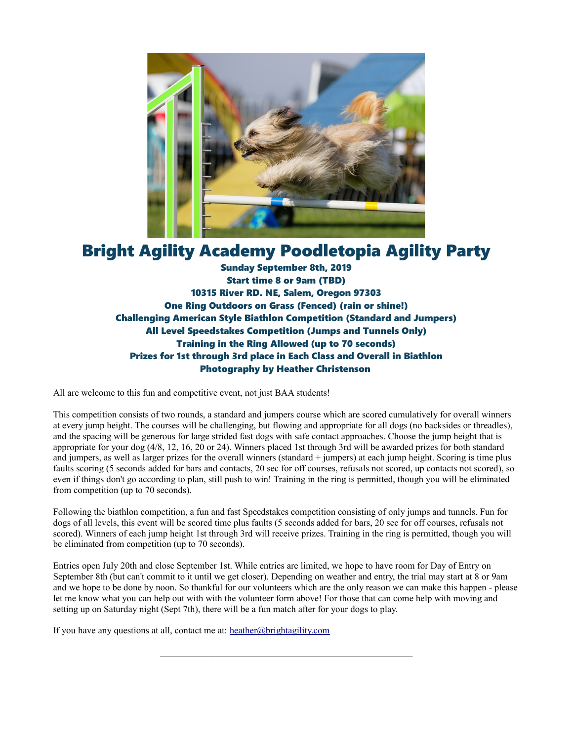

# Bright Agility Academy Poodletopia Agility Party

Sunday September 8th, 2019 Start time 8 or 9am (TBD) 10315 River RD. NE, Salem, Oregon 97303 One Ring Outdoors on Grass (Fenced) (rain or shine!) Challenging American Style Biathlon Competition (Standard and Jumpers) All Level Speedstakes Competition (Jumps and Tunnels Only) Training in the Ring Allowed (up to 70 seconds) Prizes for 1st through 3rd place in Each Class and Overall in Biathlon Photography by Heather Christenson

All are welcome to this fun and competitive event, not just BAA students!

This competition consists of two rounds, a standard and jumpers course which are scored cumulatively for overall winners at every jump height. The courses will be challenging, but flowing and appropriate for all dogs (no backsides or threadles), and the spacing will be generous for large strided fast dogs with safe contact approaches. Choose the jump height that is appropriate for your dog (4/8, 12, 16, 20 or 24). Winners placed 1st through 3rd will be awarded prizes for both standard and jumpers, as well as larger prizes for the overall winners (standard + jumpers) at each jump height. Scoring is time plus faults scoring (5 seconds added for bars and contacts, 20 sec for off courses, refusals not scored, up contacts not scored), so even if things don't go according to plan, still push to win! Training in the ring is permitted, though you will be eliminated from competition (up to 70 seconds).

Following the biathlon competition, a fun and fast Speedstakes competition consisting of only jumps and tunnels. Fun for dogs of all levels, this event will be scored time plus faults (5 seconds added for bars, 20 sec for off courses, refusals not scored). Winners of each jump height 1st through 3rd will receive prizes. Training in the ring is permitted, though you will be eliminated from competition (up to 70 seconds).

Entries open July 20th and close September 1st. While entries are limited, we hope to have room for Day of Entry on September 8th (but can't commit to it until we get closer). Depending on weather and entry, the trial may start at 8 or 9am and we hope to be done by noon. So thankful for our volunteers which are the only reason we can make this happen - please let me know what you can help out with with the volunteer form above! For those that can come help with moving and setting up on Saturday night (Sept 7th), there will be a fun match after for your dogs to play.

 $\mathcal{L}_\text{max} = \mathcal{L}_\text{max} = \mathcal{L}_\text{max} = \mathcal{L}_\text{max} = \mathcal{L}_\text{max} = \mathcal{L}_\text{max} = \mathcal{L}_\text{max} = \mathcal{L}_\text{max} = \mathcal{L}_\text{max} = \mathcal{L}_\text{max} = \mathcal{L}_\text{max} = \mathcal{L}_\text{max} = \mathcal{L}_\text{max} = \mathcal{L}_\text{max} = \mathcal{L}_\text{max} = \mathcal{L}_\text{max} = \mathcal{L}_\text{max} = \mathcal{L}_\text{max} = \mathcal{$ 

If you have any questions at all, contact me at: [heather@brightagility.com](mailto:heather@brightagility.com)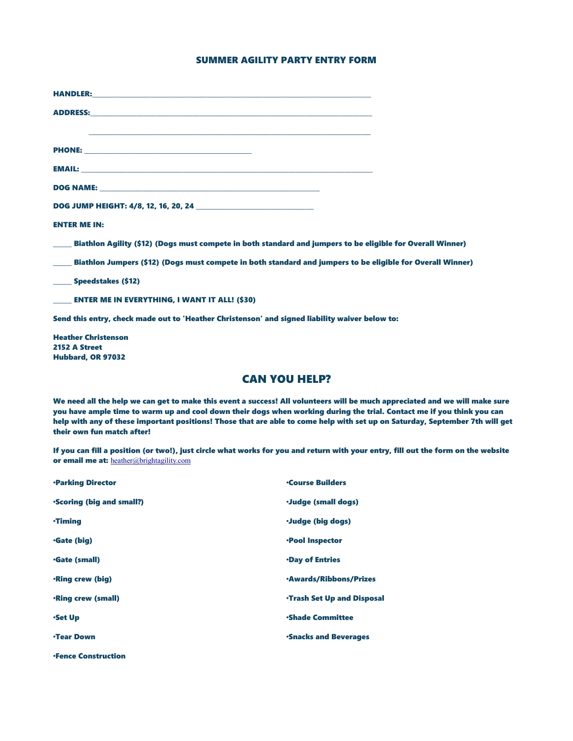### SUMMER AGILITY PARTY ENTRY FORM

\_\_\_\_\_\_ Biathlon Agility (\$12) (Dogs must compete in both standard and jumpers to be eligible for Overall Winner)

\_\_\_\_\_\_ Biathlon Jumpers (\$12) (Dogs must compete in both standard and jumpers to be eligible for Overall Winner)

\_\_\_\_\_\_ Speedstakes (\$12)

ENTER ME IN EVERYTHING, I WANT IT ALL! (\$30)

Send this entry, check made out to 'Heather Christenson' and signed liability waiver below to:

Heather Christenson 2152 A Street Hubbard, OR 97032

## CAN YOU HELP?

We need all the help we can get to make this event a success! All volunteers will be much appreciated and we will make sure you have ample time to warm up and cool down their dogs when working during the trial. Contact me if you think you can help with any of these important positions! Those that are able to come help with set up on Saturday, September 7th will get their own fun match after!

If you can fill a position (or two!), just circle what works for you and return with your entry, fill out the form on the website or email me at: [heather@brightagility.com](mailto:heather@brightagility.com)

| <b>·Parking Director</b>        | <b>Course Builders</b>            |
|---------------------------------|-----------------------------------|
| <b>Scoring (big and small?)</b> | ·Judge (small dogs)               |
| <b>·Timing</b>                  | ·Judge (big dogs)                 |
| <b>Gate (big)</b>               | ·Pool Inspector                   |
| <b>Gate (small)</b>             | <b>Day of Entries</b>             |
| <b>·Ring crew (big)</b>         | <b>·Awards/Ribbons/Prizes</b>     |
| <b>·Ring crew (small)</b>       | <b>·Trash Set Up and Disposal</b> |
| <b>Set Up</b>                   | <b>Shade Committee</b>            |
| <b>·Tear Down</b>               | <b>Snacks and Beverages</b>       |
| <b>•Fence Construction</b>      |                                   |